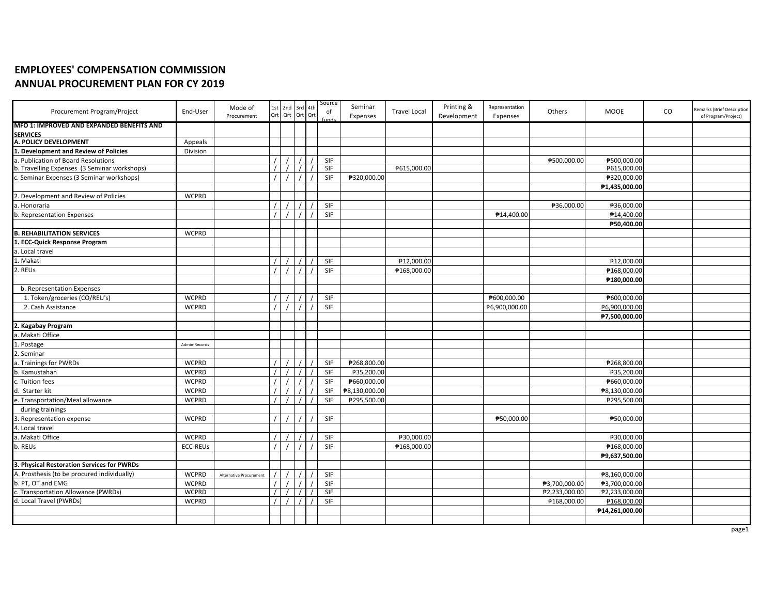## **EMPLOYEES' COMPENSATION COMMISSION ANNUAL PROCUREMENT PLAN FOR CY 2019**

| Procurement Program/Project                                                               | End-User        | Mode of<br>Procurement  | 1st 2nd 3rd 4th<br>Ort Ort Ort Ort |  | Source<br>of<br> | Seminar<br>Expenses | <b>Travel Local</b> | Printing &<br>Development | Representation<br>Expenses | Others        | MOOE                         | CO | Remarks (Brief Description<br>of Program/Project) |
|-------------------------------------------------------------------------------------------|-----------------|-------------------------|------------------------------------|--|------------------|---------------------|---------------------|---------------------------|----------------------------|---------------|------------------------------|----|---------------------------------------------------|
| MFO 1: IMPROVED AND EXPANDED BENEFITS AND                                                 |                 |                         |                                    |  |                  |                     |                     |                           |                            |               |                              |    |                                                   |
| <b>SERVICES</b>                                                                           |                 |                         |                                    |  |                  |                     |                     |                           |                            |               |                              |    |                                                   |
| A. POLICY DEVELOPMENT                                                                     | Appeals         |                         |                                    |  |                  |                     |                     |                           |                            |               |                              |    |                                                   |
| 1. Development and Review of Policies                                                     | Division        |                         |                                    |  |                  |                     |                     |                           |                            |               |                              |    |                                                   |
| a. Publication of Board Resolutions                                                       |                 |                         |                                    |  | SIF<br>SIF       |                     | ₱615,000.00         |                           |                            | ₱500,000.00   | ₱500,000.00                  |    |                                                   |
| b. Travelling Expenses (3 Seminar workshops)<br>c. Seminar Expenses (3 Seminar workshops) |                 |                         |                                    |  | SIF              |                     |                     |                           |                            |               | ₱615,000.00                  |    |                                                   |
|                                                                                           |                 |                         |                                    |  |                  | ₱320,000.00         |                     |                           |                            |               | ₱320,000.00<br>₱1,435,000.00 |    |                                                   |
| 2. Development and Review of Policies                                                     | <b>WCPRD</b>    |                         |                                    |  |                  |                     |                     |                           |                            |               |                              |    |                                                   |
| a. Honoraria                                                                              |                 |                         |                                    |  | SIF              |                     |                     |                           |                            | ₱36,000.00    | ₱36,000.00                   |    |                                                   |
| b. Representation Expenses                                                                |                 |                         |                                    |  | SIF              |                     |                     |                           | ₱14,400.00                 |               | ₱14,400.00                   |    |                                                   |
|                                                                                           |                 |                         |                                    |  |                  |                     |                     |                           |                            |               | ₱50,400.00                   |    |                                                   |
| <b>B. REHABILITATION SERVICES</b>                                                         | <b>WCPRD</b>    |                         |                                    |  |                  |                     |                     |                           |                            |               |                              |    |                                                   |
| 1. ECC-Quick Response Program                                                             |                 |                         |                                    |  |                  |                     |                     |                           |                            |               |                              |    |                                                   |
| a. Local travel                                                                           |                 |                         |                                    |  |                  |                     |                     |                           |                            |               |                              |    |                                                   |
| 1. Makati                                                                                 |                 |                         |                                    |  | SIF              |                     | ₱12,000.00          |                           |                            |               | ₱12,000.00                   |    |                                                   |
| 2. REUs                                                                                   |                 |                         |                                    |  | SIF              |                     | ₱168,000.00         |                           |                            |               | ₱168,000.00                  |    |                                                   |
|                                                                                           |                 |                         |                                    |  |                  |                     |                     |                           |                            |               | ₱180,000.00                  |    |                                                   |
| b. Representation Expenses                                                                |                 |                         |                                    |  |                  |                     |                     |                           |                            |               |                              |    |                                                   |
| 1. Token/groceries (CO/REU's)                                                             | <b>WCPRD</b>    |                         |                                    |  | SIF              |                     |                     |                           | ₱600,000.00                |               | ₱600,000.00                  |    |                                                   |
| 2. Cash Assistance                                                                        | <b>WCPRD</b>    |                         |                                    |  | SIF              |                     |                     |                           | ₱6,900,000.00              |               | ₱6,900,000.00                |    |                                                   |
|                                                                                           |                 |                         |                                    |  |                  |                     |                     |                           |                            |               | ₱7,500,000.00                |    |                                                   |
| 2. Kagabay Program                                                                        |                 |                         |                                    |  |                  |                     |                     |                           |                            |               |                              |    |                                                   |
| a. Makati Office                                                                          |                 |                         |                                    |  |                  |                     |                     |                           |                            |               |                              |    |                                                   |
| . Postage                                                                                 | Admin-Records   |                         |                                    |  |                  |                     |                     |                           |                            |               |                              |    |                                                   |
| 2. Seminar                                                                                |                 |                         |                                    |  |                  |                     |                     |                           |                            |               |                              |    |                                                   |
| a. Trainings for PWRDs                                                                    | <b>WCPRD</b>    |                         |                                    |  | SIF              | ₱268,800.00         |                     |                           |                            |               | ₱268,800.00                  |    |                                                   |
| b. Kamustahan                                                                             | <b>WCPRD</b>    |                         |                                    |  | SIF              | ₱35,200.00          |                     |                           |                            |               | ₱35,200.00                   |    |                                                   |
| c. Tuition fees                                                                           | <b>WCPRD</b>    |                         |                                    |  | SIF              | ₱660,000.00         |                     |                           |                            |               | ₱660,000.00                  |    |                                                   |
| d. Starter kit                                                                            | <b>WCPRD</b>    |                         |                                    |  | SIF              | ₱8,130,000.00       |                     |                           |                            |               | ₱8,130,000.00                |    |                                                   |
| e. Transportation/Meal allowance                                                          | <b>WCPRD</b>    |                         |                                    |  | SIF              | ₱295,500.00         |                     |                           |                            |               | ₱295,500.00                  |    |                                                   |
| during trainings                                                                          |                 |                         |                                    |  |                  |                     |                     |                           |                            |               |                              |    |                                                   |
| 3. Representation expense                                                                 | <b>WCPRD</b>    |                         |                                    |  | SIF              |                     |                     |                           | ₱50,000.00                 |               | ₱50,000.00                   |    |                                                   |
| 4. Local travel                                                                           |                 |                         |                                    |  |                  |                     |                     |                           |                            |               |                              |    |                                                   |
| a. Makati Office                                                                          | <b>WCPRD</b>    |                         |                                    |  | SIF              |                     | ₱30,000.00          |                           |                            |               | ₱30,000.00                   |    |                                                   |
| b. REUs                                                                                   | <b>ECC-REUs</b> |                         |                                    |  | SIF              |                     | ₱168,000.00         |                           |                            |               | ₱168,000.00                  |    |                                                   |
|                                                                                           |                 |                         |                                    |  |                  |                     |                     |                           |                            |               | ₱9,637,500.00                |    |                                                   |
| 3. Physical Restoration Services for PWRDs                                                |                 |                         |                                    |  |                  |                     |                     |                           |                            |               |                              |    |                                                   |
| A. Prosthesis (to be procured individually)                                               | <b>WCPRD</b>    | Alternative Procurement |                                    |  | SIF              |                     |                     |                           |                            |               | ₱8,160,000.00                |    |                                                   |
| b. PT, OT and EMG                                                                         | <b>WCPRD</b>    |                         |                                    |  | <b>SIF</b>       |                     |                     |                           |                            | ₱3,700,000.00 | ₱3,700,000.00                |    |                                                   |
| c. Transportation Allowance (PWRDs)                                                       | <b>WCPRD</b>    |                         |                                    |  | <b>SIF</b>       |                     |                     |                           |                            | ₱2,233,000.00 | ₱2,233,000.00                |    |                                                   |
| d. Local Travel (PWRDs)                                                                   | <b>WCPRD</b>    |                         |                                    |  | SIF              |                     |                     |                           |                            | ₱168,000.00   | ₱168,000.00                  |    |                                                   |
|                                                                                           |                 |                         |                                    |  |                  |                     |                     |                           |                            |               | ₱14,261,000.00               |    |                                                   |
|                                                                                           |                 |                         |                                    |  |                  |                     |                     |                           |                            |               |                              |    |                                                   |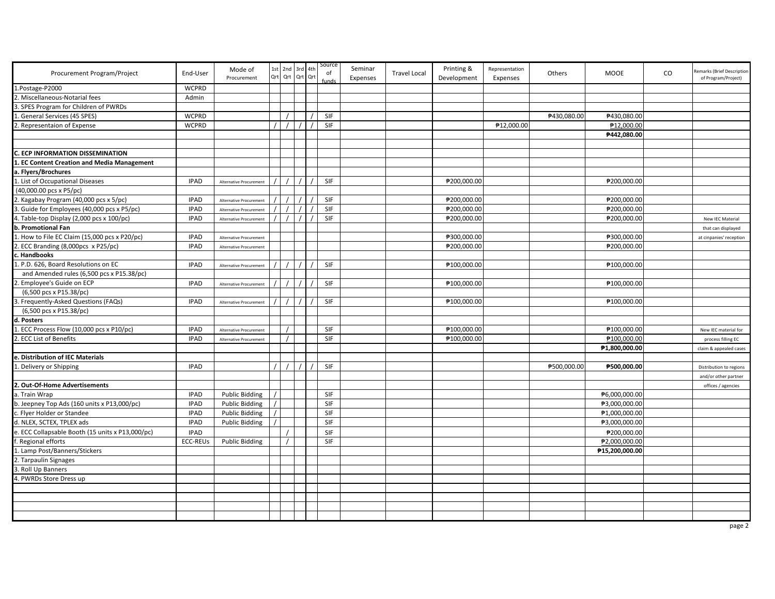| Procurement Program/Project                      | End-User        | Mode of<br>Procurement         |          | 1st 2nd 3rd 4th<br>Qrt Qrt Qrt Qrt | Source<br>of<br>fund | Seminar<br>Expenses | <b>Travel Local</b> | Printing &<br>Development | Representation<br>Expenses | Others      | MOOE           | CO | Remarks (Brief Description<br>of Program/Project) |
|--------------------------------------------------|-----------------|--------------------------------|----------|------------------------------------|----------------------|---------------------|---------------------|---------------------------|----------------------------|-------------|----------------|----|---------------------------------------------------|
| 1.Postage-P2000                                  | <b>WCPRD</b>    |                                |          |                                    |                      |                     |                     |                           |                            |             |                |    |                                                   |
| . Miscellaneous-Notarial fees                    | Admin           |                                |          |                                    |                      |                     |                     |                           |                            |             |                |    |                                                   |
| SPES Program for Children of PWRDs               |                 |                                |          |                                    |                      |                     |                     |                           |                            |             |                |    |                                                   |
| General Services (45 SPES)                       | <b>WCPRD</b>    |                                |          |                                    | <b>SIF</b>           |                     |                     |                           |                            | ₱430,080.00 | ₱430,080.00    |    |                                                   |
| . Representaion of Expense                       | <b>WCPRD</b>    |                                |          |                                    | SIF                  |                     |                     |                           | ₱12,000.00                 |             | ₱12,000.00     |    |                                                   |
|                                                  |                 |                                |          |                                    |                      |                     |                     |                           |                            |             | ₱442,080.00    |    |                                                   |
|                                                  |                 |                                |          |                                    |                      |                     |                     |                           |                            |             |                |    |                                                   |
| C. ECP INFORMATION DISSEMINATION                 |                 |                                |          |                                    |                      |                     |                     |                           |                            |             |                |    |                                                   |
| L. EC Content Creation and Media Management      |                 |                                |          |                                    |                      |                     |                     |                           |                            |             |                |    |                                                   |
| a. Flyers/Brochures                              |                 |                                |          |                                    |                      |                     |                     |                           |                            |             |                |    |                                                   |
| 1. List of Occupational Diseases                 | <b>IPAD</b>     | Alternative Procurement        |          |                                    | SIF                  |                     |                     | ₱200,000.00               |                            |             | ₱200,000.00    |    |                                                   |
| (40,000.00 pcs x P5/pc)                          |                 |                                |          |                                    |                      |                     |                     |                           |                            |             |                |    |                                                   |
| 2. Kagabay Program (40,000 pcs x 5/pc)           | <b>IPAD</b>     | Alternative Procurement        |          |                                    | SIF                  |                     |                     | ₱200,000.00               |                            |             | ₱200,000.00    |    |                                                   |
| . Guide for Employees (40,000 pcs x P5/pc)       | <b>IPAD</b>     | <b>Alternative Procurement</b> |          |                                    | SIF                  |                     |                     | ₱200,000.00               |                            |             | ₱200,000.00    |    |                                                   |
| 4. Table-top Display (2,000 pcs x 100/pc)        | <b>IPAD</b>     | Alternative Procurement        |          |                                    | SIF                  |                     |                     | ₱200,000.00               |                            |             | ₱200,000.00    |    | New IEC Material                                  |
| b. Promotional Fan                               |                 |                                |          |                                    |                      |                     |                     |                           |                            |             |                |    | that can displayed                                |
| How to File EC Claim (15,000 pcs x P20/pc)       | <b>IPAD</b>     | Alternative Procurement        |          |                                    |                      |                     |                     | ₱300,000.00               |                            |             | ₱300,000.00    |    | at cinpanies' reception                           |
| 2. ECC Branding (8,000pcs x P25/pc)              | <b>IPAD</b>     | Alternative Procurement        |          |                                    |                      |                     |                     | ₱200,000.00               |                            |             | ₱200,000.00    |    |                                                   |
| . Handbooks                                      |                 |                                |          |                                    |                      |                     |                     |                           |                            |             |                |    |                                                   |
| . P.D. 626, Board Resolutions on EC              | <b>IPAD</b>     | Alternative Procurement        | $\prime$ |                                    | SIF                  |                     |                     | ₱100,000.00               |                            |             | ₱100,000.00    |    |                                                   |
| and Amended rules (6,500 pcs x P15.38/pc)        |                 |                                |          |                                    |                      |                     |                     |                           |                            |             |                |    |                                                   |
| . Employee's Guide on ECP                        | <b>IPAD</b>     | Alternative Procurement        | $\prime$ |                                    | SIF                  |                     |                     | ₱100,000.00               |                            |             | ₱100,000.00    |    |                                                   |
| (6,500 pcs x P15.38/pc)                          |                 |                                |          |                                    |                      |                     |                     |                           |                            |             |                |    |                                                   |
| . Frequently-Asked Questions (FAQs)              | <b>IPAD</b>     | Alternative Procurement        |          |                                    | SIF                  |                     |                     | ₱100,000.00               |                            |             | ₱100,000.00    |    |                                                   |
| (6,500 pcs x P15.38/pc)                          |                 |                                |          |                                    |                      |                     |                     |                           |                            |             |                |    |                                                   |
| d. Posters                                       |                 |                                |          |                                    |                      |                     |                     |                           |                            |             |                |    |                                                   |
| . ECC Process Flow (10,000 pcs x P10/pc)         | <b>IPAD</b>     | <b>Alternative Procurement</b> |          |                                    | SIF                  |                     |                     | ₱100,000.00               |                            |             | ₱100,000.00    |    | New IEC material for                              |
| . ECC List of Benefits                           | <b>IPAD</b>     | Alternative Procurement        |          |                                    | SIF                  |                     |                     | ₱100,000.00               |                            |             | ₱100,000.00    |    | process filling EC                                |
|                                                  |                 |                                |          |                                    |                      |                     |                     |                           |                            |             | ₱1,800,000.00  |    | claim & appealed cases                            |
| e. Distribution of IEC Materials                 |                 |                                |          |                                    |                      |                     |                     |                           |                            |             |                |    |                                                   |
| Delivery or Shipping                             | <b>IPAD</b>     |                                | $\prime$ |                                    | <b>SIF</b>           |                     |                     |                           |                            | ₱500,000.00 | ₱500,000.00    |    | Distribution to regions                           |
|                                                  |                 |                                |          |                                    |                      |                     |                     |                           |                            |             |                |    | and/or other partner                              |
| 2. Out-Of-Home Advertisements                    |                 |                                |          |                                    |                      |                     |                     |                           |                            |             |                |    | offices / agencies                                |
| a. Train Wrap                                    | <b>IPAD</b>     | <b>Public Bidding</b>          |          |                                    | SIF                  |                     |                     |                           |                            |             | ₱6,000,000.00  |    |                                                   |
| b. Jeepney Top Ads (160 units x P13,000/pc)      | <b>IPAD</b>     | <b>Public Bidding</b>          |          |                                    | SIF                  |                     |                     |                           |                            |             | ₱3,000,000.00  |    |                                                   |
| c. Flyer Holder or Standee                       | <b>IPAD</b>     | <b>Public Bidding</b>          |          |                                    | SIF                  |                     |                     |                           |                            |             | ₱1,000,000.00  |    |                                                   |
| d. NLEX, SCTEX, TPLEX ads                        | <b>IPAD</b>     | <b>Public Bidding</b>          |          |                                    | SIF                  |                     |                     |                           |                            |             | ₱3,000,000.00  |    |                                                   |
| e. ECC Collapsable Booth (15 units x P13,000/pc) | <b>IPAD</b>     |                                |          |                                    | SIF                  |                     |                     |                           |                            |             | ₱200,000.00    |    |                                                   |
| Regional efforts                                 | <b>ECC-REUS</b> | <b>Public Bidding</b>          |          |                                    | SIF                  |                     |                     |                           |                            |             | ₱2,000,000.00  |    |                                                   |
| . Lamp Post/Banners/Stickers                     |                 |                                |          |                                    |                      |                     |                     |                           |                            |             | ₱15,200,000.00 |    |                                                   |
| 2. Tarpaulin Signages                            |                 |                                |          |                                    |                      |                     |                     |                           |                            |             |                |    |                                                   |
| . Roll Up Banners                                |                 |                                |          |                                    |                      |                     |                     |                           |                            |             |                |    |                                                   |
| . PWRDs Store Dress up                           |                 |                                |          |                                    |                      |                     |                     |                           |                            |             |                |    |                                                   |
|                                                  |                 |                                |          |                                    |                      |                     |                     |                           |                            |             |                |    |                                                   |
|                                                  |                 |                                |          |                                    |                      |                     |                     |                           |                            |             |                |    |                                                   |
|                                                  |                 |                                |          |                                    |                      |                     |                     |                           |                            |             |                |    |                                                   |
|                                                  |                 |                                |          |                                    |                      |                     |                     |                           |                            |             |                |    |                                                   |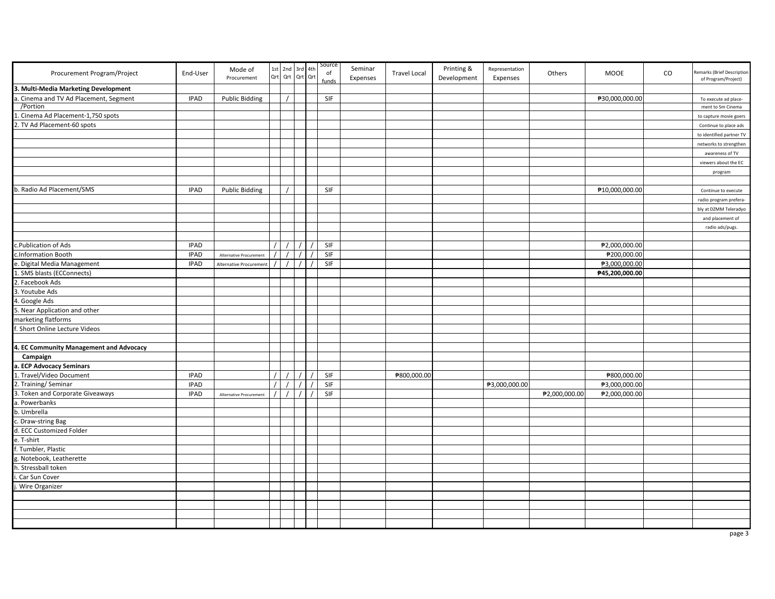| 3. Multi-Media Marketing Development<br>Cinema and TV Ad Placement, Segment<br><b>IPAD</b><br>SIF<br>₱30,000,000.00<br><b>Public Bidding</b><br>To execute ad place-<br>/Portion<br>ment to Sm Cinema<br>Cinema Ad Placement-1,750 spots<br>to capture movie goers<br>. TV Ad Placement-60 spots<br>Continue to place ads<br>to identified partner TV<br>networks to strengthen<br>awareness of TV<br>viewers about the EC<br>program<br>b. Radio Ad Placement/SMS<br><b>SIF</b><br><b>IPAD</b><br><b>Public Bidding</b><br>₱10,000,000.00<br>Continue to execute<br>radio program prefera-<br>bly at DZMM Teleradyo<br>and placement of<br>radio ads/pugs.<br>c.Publication of Ads<br><b>IPAD</b><br>$\prime$<br>SIF<br>₱2,000,000.00<br>SIF<br>₱200,000.00<br>c.Information Booth<br><b>IPAD</b><br>$\prime$<br>Alternative Procurement<br>e. Digital Media Management<br><b>IPAD</b><br>SIF<br>₱3,000,000.00<br>Alternative Procuremen<br>$\prime$<br>$\prime$<br>SMS blasts (ECConnects)<br>₱45,200,000.00<br>2. Facebook Ads<br>. Youtube Ads<br>1. Google Ads<br>5. Near Application and other<br>marketing flatforms<br>Short Online Lecture Videos<br>4. EC Community Management and Advocacy<br>Campaign<br><b>ECP Advocacy Seminars</b><br>Travel/Video Document<br><b>IPAD</b><br>SIF<br>₱800,000.00<br>₱800,000.00<br>SIF<br>Training/Seminar<br><b>IPAD</b><br>₱3,000,000.00<br>₱3,000,000.00<br>SIF<br>Token and Corporate Giveaways<br><b>IPAD</b><br>₱2,000,000.00<br>₱2,000,000.00<br>Alternative Procurement | Procurement Program/Project |
|--------------------------------------------------------------------------------------------------------------------------------------------------------------------------------------------------------------------------------------------------------------------------------------------------------------------------------------------------------------------------------------------------------------------------------------------------------------------------------------------------------------------------------------------------------------------------------------------------------------------------------------------------------------------------------------------------------------------------------------------------------------------------------------------------------------------------------------------------------------------------------------------------------------------------------------------------------------------------------------------------------------------------------------------------------------------------------------------------------------------------------------------------------------------------------------------------------------------------------------------------------------------------------------------------------------------------------------------------------------------------------------------------------------------------------------------------------------------------------------------------------------------------------|-----------------------------|
|                                                                                                                                                                                                                                                                                                                                                                                                                                                                                                                                                                                                                                                                                                                                                                                                                                                                                                                                                                                                                                                                                                                                                                                                                                                                                                                                                                                                                                                                                                                                |                             |
|                                                                                                                                                                                                                                                                                                                                                                                                                                                                                                                                                                                                                                                                                                                                                                                                                                                                                                                                                                                                                                                                                                                                                                                                                                                                                                                                                                                                                                                                                                                                |                             |
|                                                                                                                                                                                                                                                                                                                                                                                                                                                                                                                                                                                                                                                                                                                                                                                                                                                                                                                                                                                                                                                                                                                                                                                                                                                                                                                                                                                                                                                                                                                                |                             |
|                                                                                                                                                                                                                                                                                                                                                                                                                                                                                                                                                                                                                                                                                                                                                                                                                                                                                                                                                                                                                                                                                                                                                                                                                                                                                                                                                                                                                                                                                                                                |                             |
|                                                                                                                                                                                                                                                                                                                                                                                                                                                                                                                                                                                                                                                                                                                                                                                                                                                                                                                                                                                                                                                                                                                                                                                                                                                                                                                                                                                                                                                                                                                                |                             |
|                                                                                                                                                                                                                                                                                                                                                                                                                                                                                                                                                                                                                                                                                                                                                                                                                                                                                                                                                                                                                                                                                                                                                                                                                                                                                                                                                                                                                                                                                                                                |                             |
|                                                                                                                                                                                                                                                                                                                                                                                                                                                                                                                                                                                                                                                                                                                                                                                                                                                                                                                                                                                                                                                                                                                                                                                                                                                                                                                                                                                                                                                                                                                                |                             |
|                                                                                                                                                                                                                                                                                                                                                                                                                                                                                                                                                                                                                                                                                                                                                                                                                                                                                                                                                                                                                                                                                                                                                                                                                                                                                                                                                                                                                                                                                                                                |                             |
|                                                                                                                                                                                                                                                                                                                                                                                                                                                                                                                                                                                                                                                                                                                                                                                                                                                                                                                                                                                                                                                                                                                                                                                                                                                                                                                                                                                                                                                                                                                                |                             |
|                                                                                                                                                                                                                                                                                                                                                                                                                                                                                                                                                                                                                                                                                                                                                                                                                                                                                                                                                                                                                                                                                                                                                                                                                                                                                                                                                                                                                                                                                                                                |                             |
|                                                                                                                                                                                                                                                                                                                                                                                                                                                                                                                                                                                                                                                                                                                                                                                                                                                                                                                                                                                                                                                                                                                                                                                                                                                                                                                                                                                                                                                                                                                                |                             |
|                                                                                                                                                                                                                                                                                                                                                                                                                                                                                                                                                                                                                                                                                                                                                                                                                                                                                                                                                                                                                                                                                                                                                                                                                                                                                                                                                                                                                                                                                                                                |                             |
|                                                                                                                                                                                                                                                                                                                                                                                                                                                                                                                                                                                                                                                                                                                                                                                                                                                                                                                                                                                                                                                                                                                                                                                                                                                                                                                                                                                                                                                                                                                                |                             |
|                                                                                                                                                                                                                                                                                                                                                                                                                                                                                                                                                                                                                                                                                                                                                                                                                                                                                                                                                                                                                                                                                                                                                                                                                                                                                                                                                                                                                                                                                                                                |                             |
|                                                                                                                                                                                                                                                                                                                                                                                                                                                                                                                                                                                                                                                                                                                                                                                                                                                                                                                                                                                                                                                                                                                                                                                                                                                                                                                                                                                                                                                                                                                                |                             |
|                                                                                                                                                                                                                                                                                                                                                                                                                                                                                                                                                                                                                                                                                                                                                                                                                                                                                                                                                                                                                                                                                                                                                                                                                                                                                                                                                                                                                                                                                                                                |                             |
|                                                                                                                                                                                                                                                                                                                                                                                                                                                                                                                                                                                                                                                                                                                                                                                                                                                                                                                                                                                                                                                                                                                                                                                                                                                                                                                                                                                                                                                                                                                                |                             |
|                                                                                                                                                                                                                                                                                                                                                                                                                                                                                                                                                                                                                                                                                                                                                                                                                                                                                                                                                                                                                                                                                                                                                                                                                                                                                                                                                                                                                                                                                                                                |                             |
|                                                                                                                                                                                                                                                                                                                                                                                                                                                                                                                                                                                                                                                                                                                                                                                                                                                                                                                                                                                                                                                                                                                                                                                                                                                                                                                                                                                                                                                                                                                                |                             |
|                                                                                                                                                                                                                                                                                                                                                                                                                                                                                                                                                                                                                                                                                                                                                                                                                                                                                                                                                                                                                                                                                                                                                                                                                                                                                                                                                                                                                                                                                                                                |                             |
|                                                                                                                                                                                                                                                                                                                                                                                                                                                                                                                                                                                                                                                                                                                                                                                                                                                                                                                                                                                                                                                                                                                                                                                                                                                                                                                                                                                                                                                                                                                                |                             |
|                                                                                                                                                                                                                                                                                                                                                                                                                                                                                                                                                                                                                                                                                                                                                                                                                                                                                                                                                                                                                                                                                                                                                                                                                                                                                                                                                                                                                                                                                                                                |                             |
|                                                                                                                                                                                                                                                                                                                                                                                                                                                                                                                                                                                                                                                                                                                                                                                                                                                                                                                                                                                                                                                                                                                                                                                                                                                                                                                                                                                                                                                                                                                                |                             |
|                                                                                                                                                                                                                                                                                                                                                                                                                                                                                                                                                                                                                                                                                                                                                                                                                                                                                                                                                                                                                                                                                                                                                                                                                                                                                                                                                                                                                                                                                                                                |                             |
|                                                                                                                                                                                                                                                                                                                                                                                                                                                                                                                                                                                                                                                                                                                                                                                                                                                                                                                                                                                                                                                                                                                                                                                                                                                                                                                                                                                                                                                                                                                                |                             |
|                                                                                                                                                                                                                                                                                                                                                                                                                                                                                                                                                                                                                                                                                                                                                                                                                                                                                                                                                                                                                                                                                                                                                                                                                                                                                                                                                                                                                                                                                                                                |                             |
|                                                                                                                                                                                                                                                                                                                                                                                                                                                                                                                                                                                                                                                                                                                                                                                                                                                                                                                                                                                                                                                                                                                                                                                                                                                                                                                                                                                                                                                                                                                                |                             |
|                                                                                                                                                                                                                                                                                                                                                                                                                                                                                                                                                                                                                                                                                                                                                                                                                                                                                                                                                                                                                                                                                                                                                                                                                                                                                                                                                                                                                                                                                                                                |                             |
|                                                                                                                                                                                                                                                                                                                                                                                                                                                                                                                                                                                                                                                                                                                                                                                                                                                                                                                                                                                                                                                                                                                                                                                                                                                                                                                                                                                                                                                                                                                                |                             |
|                                                                                                                                                                                                                                                                                                                                                                                                                                                                                                                                                                                                                                                                                                                                                                                                                                                                                                                                                                                                                                                                                                                                                                                                                                                                                                                                                                                                                                                                                                                                |                             |
|                                                                                                                                                                                                                                                                                                                                                                                                                                                                                                                                                                                                                                                                                                                                                                                                                                                                                                                                                                                                                                                                                                                                                                                                                                                                                                                                                                                                                                                                                                                                |                             |
|                                                                                                                                                                                                                                                                                                                                                                                                                                                                                                                                                                                                                                                                                                                                                                                                                                                                                                                                                                                                                                                                                                                                                                                                                                                                                                                                                                                                                                                                                                                                |                             |
|                                                                                                                                                                                                                                                                                                                                                                                                                                                                                                                                                                                                                                                                                                                                                                                                                                                                                                                                                                                                                                                                                                                                                                                                                                                                                                                                                                                                                                                                                                                                |                             |
|                                                                                                                                                                                                                                                                                                                                                                                                                                                                                                                                                                                                                                                                                                                                                                                                                                                                                                                                                                                                                                                                                                                                                                                                                                                                                                                                                                                                                                                                                                                                |                             |
| . Powerbanks                                                                                                                                                                                                                                                                                                                                                                                                                                                                                                                                                                                                                                                                                                                                                                                                                                                                                                                                                                                                                                                                                                                                                                                                                                                                                                                                                                                                                                                                                                                   |                             |
| b. Umbrella                                                                                                                                                                                                                                                                                                                                                                                                                                                                                                                                                                                                                                                                                                                                                                                                                                                                                                                                                                                                                                                                                                                                                                                                                                                                                                                                                                                                                                                                                                                    |                             |
| . Draw-string Bag                                                                                                                                                                                                                                                                                                                                                                                                                                                                                                                                                                                                                                                                                                                                                                                                                                                                                                                                                                                                                                                                                                                                                                                                                                                                                                                                                                                                                                                                                                              |                             |
| d. ECC Customized Folder                                                                                                                                                                                                                                                                                                                                                                                                                                                                                                                                                                                                                                                                                                                                                                                                                                                                                                                                                                                                                                                                                                                                                                                                                                                                                                                                                                                                                                                                                                       |                             |
| e. T-shirt                                                                                                                                                                                                                                                                                                                                                                                                                                                                                                                                                                                                                                                                                                                                                                                                                                                                                                                                                                                                                                                                                                                                                                                                                                                                                                                                                                                                                                                                                                                     |                             |
| Tumbler, Plastic                                                                                                                                                                                                                                                                                                                                                                                                                                                                                                                                                                                                                                                                                                                                                                                                                                                                                                                                                                                                                                                                                                                                                                                                                                                                                                                                                                                                                                                                                                               |                             |
| . Notebook, Leatherette                                                                                                                                                                                                                                                                                                                                                                                                                                                                                                                                                                                                                                                                                                                                                                                                                                                                                                                                                                                                                                                                                                                                                                                                                                                                                                                                                                                                                                                                                                        |                             |
| h. Stressball token                                                                                                                                                                                                                                                                                                                                                                                                                                                                                                                                                                                                                                                                                                                                                                                                                                                                                                                                                                                                                                                                                                                                                                                                                                                                                                                                                                                                                                                                                                            |                             |
| Car Sun Cover                                                                                                                                                                                                                                                                                                                                                                                                                                                                                                                                                                                                                                                                                                                                                                                                                                                                                                                                                                                                                                                                                                                                                                                                                                                                                                                                                                                                                                                                                                                  |                             |
| <b>Wire Organizer</b>                                                                                                                                                                                                                                                                                                                                                                                                                                                                                                                                                                                                                                                                                                                                                                                                                                                                                                                                                                                                                                                                                                                                                                                                                                                                                                                                                                                                                                                                                                          |                             |
|                                                                                                                                                                                                                                                                                                                                                                                                                                                                                                                                                                                                                                                                                                                                                                                                                                                                                                                                                                                                                                                                                                                                                                                                                                                                                                                                                                                                                                                                                                                                |                             |
|                                                                                                                                                                                                                                                                                                                                                                                                                                                                                                                                                                                                                                                                                                                                                                                                                                                                                                                                                                                                                                                                                                                                                                                                                                                                                                                                                                                                                                                                                                                                |                             |
|                                                                                                                                                                                                                                                                                                                                                                                                                                                                                                                                                                                                                                                                                                                                                                                                                                                                                                                                                                                                                                                                                                                                                                                                                                                                                                                                                                                                                                                                                                                                |                             |
|                                                                                                                                                                                                                                                                                                                                                                                                                                                                                                                                                                                                                                                                                                                                                                                                                                                                                                                                                                                                                                                                                                                                                                                                                                                                                                                                                                                                                                                                                                                                |                             |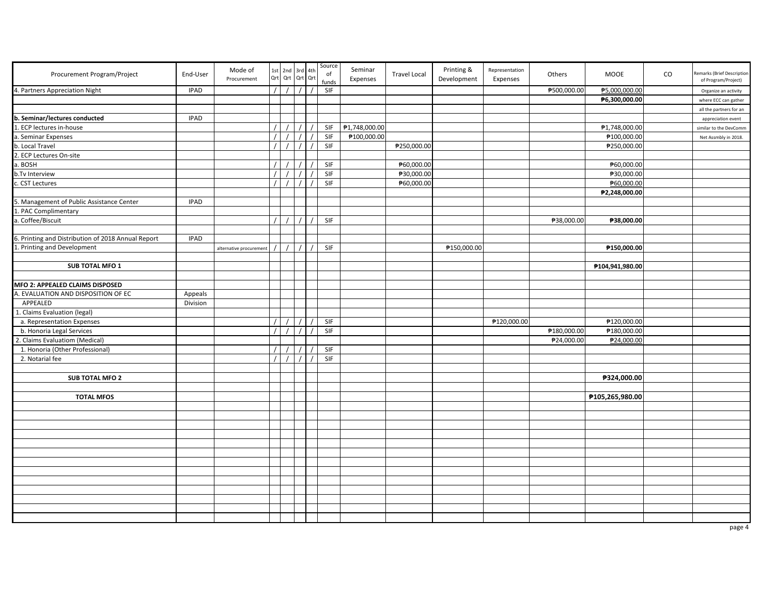| Procurement Program/Project                        | End-User    | Mode of<br>Procurement  | Qrt      | 1st 2nd  | 3rd 4th<br>Qrt Qrt Qrt | Source<br>$_{\mathsf{of}}$<br>funds | Seminar<br>Expenses | <b>Travel Local</b> | Printing &<br>Development | Representation<br>Expenses | Others      | MOOE            | $\rm CO$ | temarks (Brief Description<br>of Program/Project) |
|----------------------------------------------------|-------------|-------------------------|----------|----------|------------------------|-------------------------------------|---------------------|---------------------|---------------------------|----------------------------|-------------|-----------------|----------|---------------------------------------------------|
| 4. Partners Appreciation Night                     | <b>IPAD</b> |                         | $\prime$ | $\prime$ | $\prime$               | SIF                                 |                     |                     |                           |                            | ₱500,000.00 | ₱5,000,000.00   |          | Organize an activity                              |
|                                                    |             |                         |          |          |                        |                                     |                     |                     |                           |                            |             | ₱6,300,000.00   |          | where ECC can gather                              |
|                                                    |             |                         |          |          |                        |                                     |                     |                     |                           |                            |             |                 |          | all the partners for an                           |
| b. Seminar/lectures conducted                      | <b>IPAD</b> |                         |          |          |                        |                                     |                     |                     |                           |                            |             |                 |          | appreciation event                                |
| . ECP lectures in-house                            |             |                         |          |          |                        | SIF                                 | ₱1,748,000.00       |                     |                           |                            |             | ₱1,748,000.00   |          | similar to the DevComm                            |
| a. Seminar Expenses                                |             |                         |          |          |                        | SIF                                 | ₱100,000.00         |                     |                           |                            |             | ₱100,000.00     |          | Net Assmbly in 2018.                              |
| b. Local Travel                                    |             |                         |          |          |                        | SIF                                 |                     | ₱250,000.00         |                           |                            |             | ₱250,000.00     |          |                                                   |
| 2. ECP Lectures On-site                            |             |                         |          |          |                        |                                     |                     |                     |                           |                            |             |                 |          |                                                   |
| . BOSH                                             |             |                         |          |          |                        | SIF                                 |                     | ₱60,000.00          |                           |                            |             | ₱60,000.00      |          |                                                   |
| b.Tv Interview                                     |             |                         |          |          |                        | SIF                                 |                     | ₱30,000.00          |                           |                            |             | ₱30,000.00      |          |                                                   |
| <b>CST Lectures</b>                                |             |                         |          |          |                        | SIF                                 |                     | ₱60,000.00          |                           |                            |             | ₱60,000.00      |          |                                                   |
|                                                    |             |                         |          |          |                        |                                     |                     |                     |                           |                            |             | ₱2,248,000.00   |          |                                                   |
| 5<br>. Management of Public Assistance Center      | <b>IPAD</b> |                         |          |          |                        |                                     |                     |                     |                           |                            |             |                 |          |                                                   |
| . PAC Complimentary                                |             |                         |          |          |                        |                                     |                     |                     |                           |                            |             |                 |          |                                                   |
| Coffee/Biscuit                                     |             |                         |          |          |                        | SIF                                 |                     |                     |                           |                            | ₱38,000.00  | ₱38,000.00      |          |                                                   |
|                                                    |             |                         |          |          |                        |                                     |                     |                     |                           |                            |             |                 |          |                                                   |
| 6. Printing and Distribution of 2018 Annual Report | <b>IPAD</b> |                         |          |          |                        |                                     |                     |                     |                           |                            |             |                 |          |                                                   |
| 1. Printing and Development                        |             | alternative procurement |          |          |                        | SIF                                 |                     |                     | ₱150,000.00               |                            |             | ₱150,000.00     |          |                                                   |
|                                                    |             |                         |          |          |                        |                                     |                     |                     |                           |                            |             |                 |          |                                                   |
| <b>SUB TOTAL MFO 1</b>                             |             |                         |          |          |                        |                                     |                     |                     |                           |                            |             | ₱104,941,980.00 |          |                                                   |
|                                                    |             |                         |          |          |                        |                                     |                     |                     |                           |                            |             |                 |          |                                                   |
| MFO 2: APPEALED CLAIMS DISPOSED                    |             |                         |          |          |                        |                                     |                     |                     |                           |                            |             |                 |          |                                                   |
| . EVALUATION AND DISPOSITION OF EC                 | Appeals     |                         |          |          |                        |                                     |                     |                     |                           |                            |             |                 |          |                                                   |
| APPEALED                                           | Division    |                         |          |          |                        |                                     |                     |                     |                           |                            |             |                 |          |                                                   |
| 1. Claims Evaluation (legal)                       |             |                         |          |          |                        |                                     |                     |                     |                           |                            |             |                 |          |                                                   |
| a. Representation Expenses                         |             |                         |          |          |                        | SIF                                 |                     |                     |                           | ₱120,000.00                |             | ₱120,000.00     |          |                                                   |
| b. Honoria Legal Services                          |             |                         |          |          |                        | SIF                                 |                     |                     |                           |                            | ₱180,000.00 | ₱180,000.00     |          |                                                   |
| 2. Claims Evaluatiom (Medical)                     |             |                         |          |          |                        |                                     |                     |                     |                           |                            |             | ₱24,000.00      |          |                                                   |
| 1. Honoria (Other Professional)                    |             |                         |          |          |                        | SIF                                 |                     |                     |                           |                            | ₱24,000.00  |                 |          |                                                   |
| 2. Notarial fee                                    |             |                         |          |          |                        | SIF                                 |                     |                     |                           |                            |             |                 |          |                                                   |
|                                                    |             |                         |          |          |                        |                                     |                     |                     |                           |                            |             |                 |          |                                                   |
|                                                    |             |                         |          |          |                        |                                     |                     |                     |                           |                            |             |                 |          |                                                   |
| <b>SUB TOTAL MFO 2</b>                             |             |                         |          |          |                        |                                     |                     |                     |                           |                            |             | ₱324,000.00     |          |                                                   |
|                                                    |             |                         |          |          |                        |                                     |                     |                     |                           |                            |             |                 |          |                                                   |
| <b>TOTAL MFOS</b>                                  |             |                         |          |          |                        |                                     |                     |                     |                           |                            |             | ₱105,265,980.00 |          |                                                   |
|                                                    |             |                         |          |          |                        |                                     |                     |                     |                           |                            |             |                 |          |                                                   |
|                                                    |             |                         |          |          |                        |                                     |                     |                     |                           |                            |             |                 |          |                                                   |
|                                                    |             |                         |          |          |                        |                                     |                     |                     |                           |                            |             |                 |          |                                                   |
|                                                    |             |                         |          |          |                        |                                     |                     |                     |                           |                            |             |                 |          |                                                   |
|                                                    |             |                         |          |          |                        |                                     |                     |                     |                           |                            |             |                 |          |                                                   |
|                                                    |             |                         |          |          |                        |                                     |                     |                     |                           |                            |             |                 |          |                                                   |
|                                                    |             |                         |          |          |                        |                                     |                     |                     |                           |                            |             |                 |          |                                                   |
|                                                    |             |                         |          |          |                        |                                     |                     |                     |                           |                            |             |                 |          |                                                   |
|                                                    |             |                         |          |          |                        |                                     |                     |                     |                           |                            |             |                 |          |                                                   |
|                                                    |             |                         |          |          |                        |                                     |                     |                     |                           |                            |             |                 |          |                                                   |
|                                                    |             |                         |          |          |                        |                                     |                     |                     |                           |                            |             |                 |          |                                                   |
|                                                    |             |                         |          |          |                        |                                     |                     |                     |                           |                            |             |                 |          |                                                   |
|                                                    |             |                         |          |          |                        |                                     |                     |                     |                           |                            |             |                 |          |                                                   |
|                                                    |             |                         |          |          |                        |                                     |                     |                     |                           |                            |             |                 |          | page 4                                            |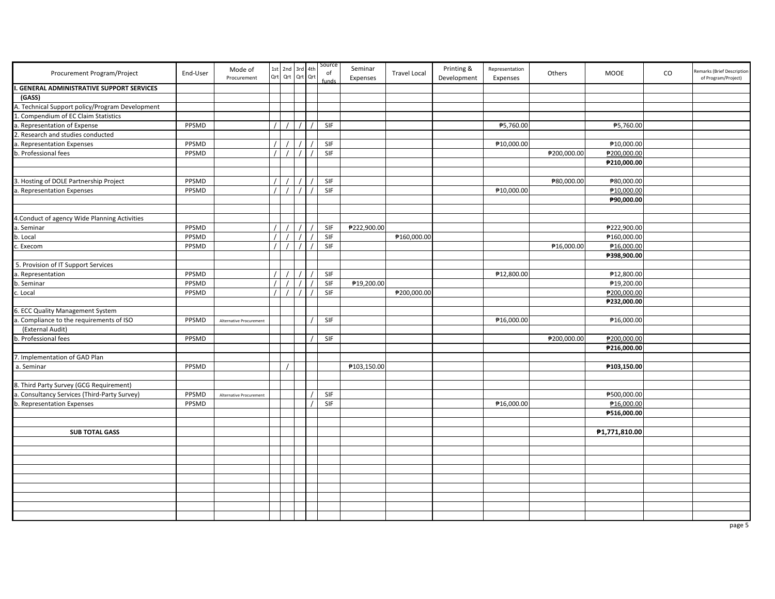| Procurement Program/Project                    | End-User | Mode of<br>Procurement  |          | 1st 2nd 3rd 4th<br>Qrt Qrt Qrt Qrt |  | Source<br>of<br>funds | Seminar<br>Expenses | <b>Travel Local</b> | Printing &<br>Development | Representation<br>Expenses | Others      | MOOE          | CO | Remarks (Brief Description<br>of Program/Project) |
|------------------------------------------------|----------|-------------------------|----------|------------------------------------|--|-----------------------|---------------------|---------------------|---------------------------|----------------------------|-------------|---------------|----|---------------------------------------------------|
| <b>GENERAL ADMINISTRATIVE SUPPORT SERVICES</b> |          |                         |          |                                    |  |                       |                     |                     |                           |                            |             |               |    |                                                   |
| (GASS)                                         |          |                         |          |                                    |  |                       |                     |                     |                           |                            |             |               |    |                                                   |
| . Technical Support policy/Program Development |          |                         |          |                                    |  |                       |                     |                     |                           |                            |             |               |    |                                                   |
| Compendium of EC Claim Statistics              |          |                         |          |                                    |  |                       |                     |                     |                           |                            |             |               |    |                                                   |
| Representation of Expense                      | PPSMD    |                         |          |                                    |  | SIF                   |                     |                     |                           | ₱5,760.00                  |             | ₱5,760.00     |    |                                                   |
| . Research and studies conducted               |          |                         |          |                                    |  |                       |                     |                     |                           |                            |             |               |    |                                                   |
| . Representation Expenses                      | PPSMD    |                         |          |                                    |  | SIF                   |                     |                     |                           | ₱10,000.00                 |             | ₱10,000.00    |    |                                                   |
| b. Professional fees                           | PPSMD    |                         | $\prime$ |                                    |  | SIF                   |                     |                     |                           |                            | ₱200,000.00 | ₱200,000.00   |    |                                                   |
|                                                |          |                         |          |                                    |  |                       |                     |                     |                           |                            |             | ₱210,000.00   |    |                                                   |
|                                                |          |                         |          |                                    |  |                       |                     |                     |                           |                            |             |               |    |                                                   |
| 3. Hosting of DOLE Partnership Project         | PPSMD    |                         |          |                                    |  | SIF                   |                     |                     |                           |                            | ₱80,000.00  | ₱80,000.00    |    |                                                   |
| . Representation Expenses                      | PPSMD    |                         |          |                                    |  | SIF                   |                     |                     |                           | ₱10,000.00                 |             | ₱10,000.00    |    |                                                   |
|                                                |          |                         |          |                                    |  |                       |                     |                     |                           |                            |             | ₱90,000.00    |    |                                                   |
|                                                |          |                         |          |                                    |  |                       |                     |                     |                           |                            |             |               |    |                                                   |
| 4. Conduct of agency Wide Planning Activities  |          |                         |          |                                    |  |                       |                     |                     |                           |                            |             |               |    |                                                   |
| . Seminar                                      | PPSMD    |                         |          |                                    |  | SIF                   | ₱222,900.00         |                     |                           |                            |             | ₱222,900.00   |    |                                                   |
| o. Local                                       | PPSMD    |                         |          |                                    |  | SIF                   |                     | ₱160,000.00         |                           |                            |             | ₱160,000.00   |    |                                                   |
| . Execom                                       | PPSMD    |                         |          |                                    |  | SIF                   |                     |                     |                           |                            | ₱16,000.00  | ₱16,000.00    |    |                                                   |
|                                                |          |                         |          |                                    |  |                       |                     |                     |                           |                            |             | ₱398,900.00   |    |                                                   |
| 5. Provision of IT Support Services            |          |                         |          |                                    |  |                       |                     |                     |                           |                            |             |               |    |                                                   |
| . Representation                               | PPSMD    |                         |          |                                    |  | SIF                   |                     |                     |                           | ₱12,800.00                 |             | ₱12,800.00    |    |                                                   |
| . Seminar                                      | PPSMD    |                         |          |                                    |  | SIF                   | ₱19,200.00          |                     |                           |                            |             | ₱19,200.00    |    |                                                   |
| . Local                                        | PPSMD    |                         | $\prime$ |                                    |  | SIF                   |                     | ₱200,000.00         |                           |                            |             | ₱200,000.00   |    |                                                   |
|                                                |          |                         |          |                                    |  |                       |                     |                     |                           |                            |             | ₱232,000.00   |    |                                                   |
| 5. ECC Quality Management System               |          |                         |          |                                    |  |                       |                     |                     |                           |                            |             |               |    |                                                   |
| . Compliance to the requirements of ISO        | PPSMD    | Alternative Procurement |          |                                    |  | SIF                   |                     |                     |                           | ₱16,000.00                 |             | ₱16,000.00    |    |                                                   |
| (External Audit)                               |          |                         |          |                                    |  |                       |                     |                     |                           |                            |             |               |    |                                                   |
| . Professional fees                            | PPSMD    |                         |          |                                    |  | SIF                   |                     |                     |                           |                            | ₱200,000.00 | ₱200,000.00   |    |                                                   |
|                                                |          |                         |          |                                    |  |                       |                     |                     |                           |                            |             | ₱216,000.00   |    |                                                   |
| 7. Implementation of GAD Plan                  |          |                         |          |                                    |  |                       |                     |                     |                           |                            |             |               |    |                                                   |
| a. Seminar                                     | PPSMD    |                         |          |                                    |  |                       | ₱103,150.00         |                     |                           |                            |             | ₱103,150.00   |    |                                                   |
|                                                |          |                         |          |                                    |  |                       |                     |                     |                           |                            |             |               |    |                                                   |
| 8. Third Party Survey (GCG Requirement)        |          |                         |          |                                    |  |                       |                     |                     |                           |                            |             |               |    |                                                   |
| a. Consultancy Services (Third-Party Survey)   | PPSMD    | Alternative Procurement |          |                                    |  | SIF                   |                     |                     |                           |                            |             | ₱500,000.00   |    |                                                   |
| b. Representation Expenses                     | PPSMD    |                         |          |                                    |  | SIF                   |                     |                     |                           | ₱16,000.00                 |             | ₱16,000.00    |    |                                                   |
|                                                |          |                         |          |                                    |  |                       |                     |                     |                           |                            |             |               |    |                                                   |
|                                                |          |                         |          |                                    |  |                       |                     |                     |                           |                            |             | ₱516,000.00   |    |                                                   |
|                                                |          |                         |          |                                    |  |                       |                     |                     |                           |                            |             |               |    |                                                   |
| <b>SUB TOTAL GASS</b>                          |          |                         |          |                                    |  |                       |                     |                     |                           |                            |             | ₱1,771,810.00 |    |                                                   |
|                                                |          |                         |          |                                    |  |                       |                     |                     |                           |                            |             |               |    |                                                   |
|                                                |          |                         |          |                                    |  |                       |                     |                     |                           |                            |             |               |    |                                                   |
|                                                |          |                         |          |                                    |  |                       |                     |                     |                           |                            |             |               |    |                                                   |
|                                                |          |                         |          |                                    |  |                       |                     |                     |                           |                            |             |               |    |                                                   |
|                                                |          |                         |          |                                    |  |                       |                     |                     |                           |                            |             |               |    |                                                   |
|                                                |          |                         |          |                                    |  |                       |                     |                     |                           |                            |             |               |    |                                                   |
|                                                |          |                         |          |                                    |  |                       |                     |                     |                           |                            |             |               |    |                                                   |
|                                                |          |                         |          |                                    |  |                       |                     |                     |                           |                            |             |               |    |                                                   |
|                                                |          |                         |          |                                    |  |                       |                     |                     |                           |                            |             |               |    |                                                   |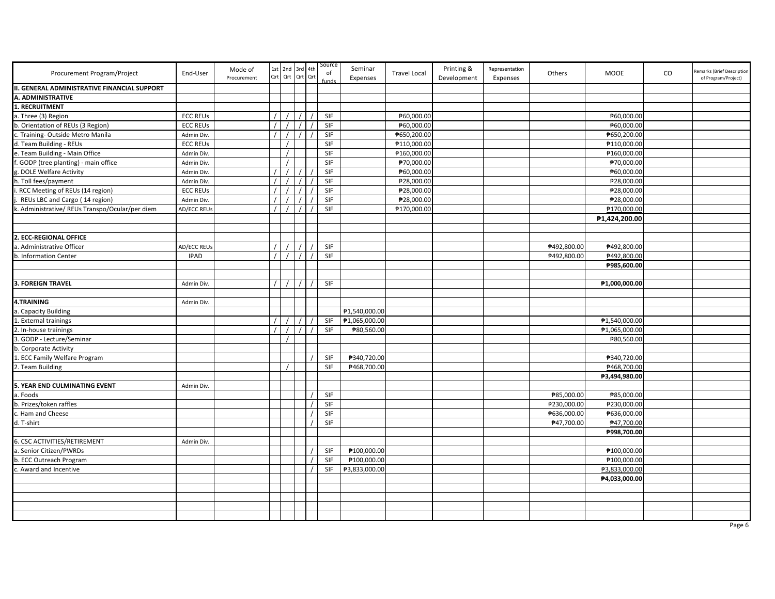| Procurement Program/Project                         | End-User        | Mode of<br>Procurement | Qrt | 1st 2nd 3rd 4th | Qrt Qrt Qrt | Source<br>of | Seminar<br>Expenses | <b>Travel Local</b> | Printing &<br>Development | Representation<br>Expenses | Others      | <b>MOOE</b>   | CO | Remarks (Brief Description<br>of Program/Project) |
|-----------------------------------------------------|-----------------|------------------------|-----|-----------------|-------------|--------------|---------------------|---------------------|---------------------------|----------------------------|-------------|---------------|----|---------------------------------------------------|
| <b>II. GENERAL ADMINISTRATIVE FINANCIAL SUPPORT</b> |                 |                        |     |                 |             |              |                     |                     |                           |                            |             |               |    |                                                   |
| A. ADMINISTRATIVE                                   |                 |                        |     |                 |             |              |                     |                     |                           |                            |             |               |    |                                                   |
| RECRUITMENT                                         |                 |                        |     |                 |             |              |                     |                     |                           |                            |             |               |    |                                                   |
| a. Three (3) Region                                 | <b>ECC REUS</b> |                        |     |                 |             | SIF          |                     | ₱60,000.00          |                           |                            |             | ₱60,000.00    |    |                                                   |
| b. Orientation of REUs (3 Region)                   | <b>ECC REUS</b> |                        |     |                 |             | SIF          |                     | ₱60,000.00          |                           |                            |             | ₱60,000.00    |    |                                                   |
| . Training- Outside Metro Manila                    | Admin Div.      |                        |     |                 |             | SIF          |                     | ₱650,200.00         |                           |                            |             | ₱650,200.00   |    |                                                   |
| d. Team Building - REUs                             | <b>ECC REUS</b> |                        |     |                 |             | SIF          |                     | ₱110,000.00         |                           |                            |             | ₱110,000.00   |    |                                                   |
| e. Team Building - Main Office                      | Admin Div.      |                        |     |                 |             | SIF          |                     | ₱160,000.00         |                           |                            |             | ₱160,000.00   |    |                                                   |
| GODP (tree planting) - main office                  | Admin Div.      |                        |     |                 |             | SIF          |                     | ₱70,000.00          |                           |                            |             | ₱70,000.00    |    |                                                   |
| DOLE Welfare Activity                               | Admin Div.      |                        |     |                 |             | SIF          |                     | ₱60,000.00          |                           |                            |             | ₱60,000.00    |    |                                                   |
| . Toll fees/payment                                 | Admin Div.      |                        |     |                 |             | SIF          |                     | ₱28,000.00          |                           |                            |             | ₱28,000.00    |    |                                                   |
| RCC Meeting of REUs (14 region)                     | <b>ECC REUS</b> |                        |     |                 |             | SIF          |                     | ₱28,000.00          |                           |                            |             | ₱28,000.00    |    |                                                   |
| REUs LBC and Cargo (14 region)                      | Admin Div.      |                        |     |                 |             | SIF          |                     | ₱28,000.00          |                           |                            |             | ₱28,000.00    |    |                                                   |
| Administrative/ REUs Transpo/Ocular/per diem        | AD/ECC REUs     |                        |     |                 |             | SIF          |                     | ₱170,000.00         |                           |                            |             | ₱170,000.00   |    |                                                   |
|                                                     |                 |                        |     |                 |             |              |                     |                     |                           |                            |             | ₱1,424,200.00 |    |                                                   |
|                                                     |                 |                        |     |                 |             |              |                     |                     |                           |                            |             |               |    |                                                   |
| 2. ECC-REGIONAL OFFICE                              |                 |                        |     |                 |             |              |                     |                     |                           |                            |             |               |    |                                                   |
| a. Administrative Officer                           | AD/ECC REUs     |                        |     |                 |             | SIF          |                     |                     |                           |                            | ₱492,800.00 | ₱492,800.00   |    |                                                   |
| b. Information Center                               | <b>IPAD</b>     |                        |     |                 |             | SIF          |                     |                     |                           |                            | ₱492,800.00 | ₱492,800.00   |    |                                                   |
|                                                     |                 |                        |     |                 |             |              |                     |                     |                           |                            |             | ₱985,600.00   |    |                                                   |
|                                                     |                 |                        |     |                 |             |              |                     |                     |                           |                            |             |               |    |                                                   |
| <b>3. FOREIGN TRAVEL</b>                            | Admin Div.      |                        |     |                 | $\prime$    | SIF          |                     |                     |                           |                            |             | ₱1,000,000.00 |    |                                                   |
|                                                     |                 |                        |     |                 |             |              |                     |                     |                           |                            |             |               |    |                                                   |
| 4.TRAINING                                          | Admin Div.      |                        |     |                 |             |              |                     |                     |                           |                            |             |               |    |                                                   |
| . Capacity Building                                 |                 |                        |     |                 |             |              | ₱1,540,000.00       |                     |                           |                            |             |               |    |                                                   |
| External trainings                                  |                 |                        |     |                 |             | SIF          | ₱1,065,000.00       |                     |                           |                            |             | ₱1,540,000.00 |    |                                                   |
| In-house trainings                                  |                 |                        |     |                 |             | SIF          | ₱80,560.00          |                     |                           |                            |             | ₱1,065,000.00 |    |                                                   |
| . GODP - Lecture/Seminar                            |                 |                        |     |                 |             |              |                     |                     |                           |                            |             | ₱80,560.00    |    |                                                   |
| b. Corporate Activity                               |                 |                        |     |                 |             |              |                     |                     |                           |                            |             |               |    |                                                   |
| L. ECC Family Welfare Program                       |                 |                        |     |                 |             | SIF          | ₱340,720.00         |                     |                           |                            |             | ₱340,720.00   |    |                                                   |
| 2. Team Building                                    |                 |                        |     |                 |             | SIF          | ₱468,700.00         |                     |                           |                            |             | ₱468,700.00   |    |                                                   |
|                                                     |                 |                        |     |                 |             |              |                     |                     |                           |                            |             | ₱3,494,980.00 |    |                                                   |
| 5. YEAR END CULMINATING EVENT                       | Admin Div.      |                        |     |                 |             |              |                     |                     |                           |                            |             |               |    |                                                   |
| a. Foods                                            |                 |                        |     |                 |             | SIF          |                     |                     |                           |                            | ₱85,000.00  | ₱85,000.00    |    |                                                   |
| b. Prizes/token raffles                             |                 |                        |     |                 |             | SIF          |                     |                     |                           |                            | ₱230,000.00 | ₱230,000.00   |    |                                                   |
| . Ham and Cheese                                    |                 |                        |     |                 |             | SIF          |                     |                     |                           |                            | ₱636,000.00 | ₱636,000.00   |    |                                                   |
| d. T-shirt                                          |                 |                        |     |                 |             | SIF          |                     |                     |                           |                            | ₱47,700.00  | ₱47,700.00    |    |                                                   |
|                                                     |                 |                        |     |                 |             |              |                     |                     |                           |                            |             |               |    |                                                   |
|                                                     |                 |                        |     |                 |             |              |                     |                     |                           |                            |             | ₱998,700.00   |    |                                                   |
| 6. CSC ACTIVITIES/RETIREMENT                        | Admin Div.      |                        |     |                 |             |              | ₱100,000.00         |                     |                           |                            |             |               |    |                                                   |
| . Senior Citizen/PWRDs                              |                 |                        |     |                 |             | SIF<br>SIF   |                     |                     |                           |                            |             | ₱100,000.00   |    |                                                   |
| b. ECC Outreach Program                             |                 |                        |     |                 |             |              | ₱100,000.00         |                     |                           |                            |             | ₱100,000.00   |    |                                                   |
| . Award and Incentive                               |                 |                        |     |                 |             | SIF          | ₱3,833,000.00       |                     |                           |                            |             | ₱3,833,000.00 |    |                                                   |
|                                                     |                 |                        |     |                 |             |              |                     |                     |                           |                            |             | ₱4,033,000.00 |    |                                                   |
|                                                     |                 |                        |     |                 |             |              |                     |                     |                           |                            |             |               |    |                                                   |
|                                                     |                 |                        |     |                 |             |              |                     |                     |                           |                            |             |               |    |                                                   |
|                                                     |                 |                        |     |                 |             |              |                     |                     |                           |                            |             |               |    |                                                   |
|                                                     |                 |                        |     |                 |             |              |                     |                     |                           |                            |             |               |    |                                                   |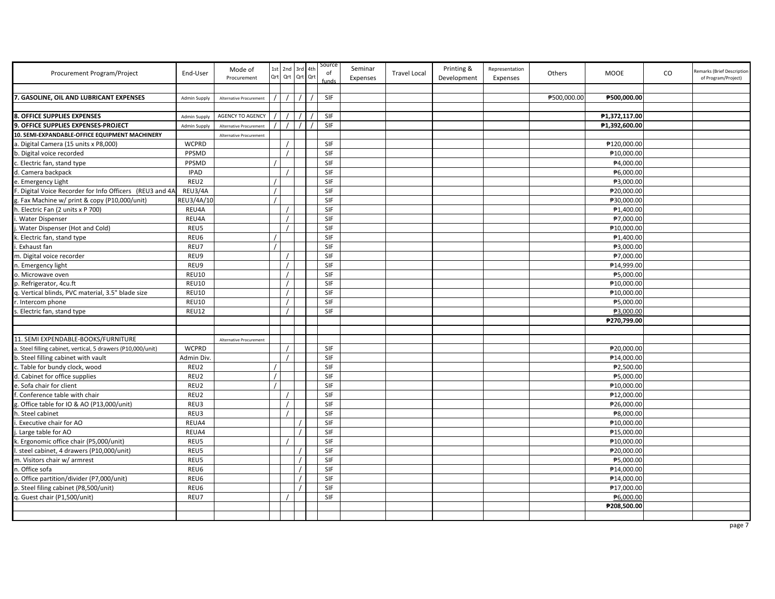| Procurement Program/Project                                  | End-User            | Mode of<br>Procurement  |          | 1st 2nd 3rd 4th<br>Qrt Qrt Qrt Qrt | Source<br>of | Seminar<br>Expenses | <b>Travel Local</b> | Printing &<br>Development | Representation<br>Expenses | <b>Others</b> | <b>MOOE</b>   | CO | Remarks (Brief Description<br>of Program/Project) |
|--------------------------------------------------------------|---------------------|-------------------------|----------|------------------------------------|--------------|---------------------|---------------------|---------------------------|----------------------------|---------------|---------------|----|---------------------------------------------------|
|                                                              |                     |                         |          |                                    |              |                     |                     |                           |                            |               |               |    |                                                   |
| 7. GASOLINE. OIL AND LUBRICANT EXPENSES                      | <b>Admin Supply</b> | Alternative Procurement |          |                                    | <b>SIF</b>   |                     |                     |                           |                            | ₱500.000.00   | ₱500.000.00   |    |                                                   |
|                                                              |                     |                         |          |                                    |              |                     |                     |                           |                            |               |               |    |                                                   |
| 8. OFFICE SUPPLIES EXPENSES                                  | <b>Admin Supply</b> | <b>AGENCY TO AGENCY</b> |          |                                    | SIF          |                     |                     |                           |                            |               | ₱1,372,117.00 |    |                                                   |
| <b>9. OFFICE SUPPLIES EXPENSES-PROJECT</b>                   | <b>Admin Supply</b> | Alternative Procurement |          |                                    | SIF          |                     |                     |                           |                            |               | ₱1,392,600.00 |    |                                                   |
| 10. SEMI-EXPANDABLE-OFFICE EQUIPMENT MACHINERY               |                     | Alternative Procurement |          |                                    |              |                     |                     |                           |                            |               |               |    |                                                   |
| a. Digital Camera (15 units x P8,000)                        | <b>WCPRD</b>        |                         |          |                                    | <b>SIF</b>   |                     |                     |                           |                            |               | ₱120,000.00   |    |                                                   |
| o. Digital voice recorded                                    | PPSMD               |                         |          |                                    | SIF          |                     |                     |                           |                            |               | ₱10,000.00    |    |                                                   |
| Electric fan, stand type                                     | PPSMD               |                         |          |                                    | SIF          |                     |                     |                           |                            |               | ₱4,000.00     |    |                                                   |
| d. Camera backpack                                           | <b>IPAD</b>         |                         |          |                                    | SIF          |                     |                     |                           |                            |               | ₱6,000.00     |    |                                                   |
| e. Emergency Light                                           | REU2                |                         |          |                                    | SIF          |                     |                     |                           |                            |               | ₱3,000.00     |    |                                                   |
| Digital Voice Recorder for Info Officers (REU3 and 4A        | REU3/4A             |                         | $\prime$ |                                    | SIF          |                     |                     |                           |                            |               | ₱20,000.00    |    |                                                   |
| . Fax Machine w/ print & copy (P10,000/unit)                 | REU3/4A/10          |                         |          |                                    | <b>SIF</b>   |                     |                     |                           |                            |               | ₱30,000.00    |    |                                                   |
| . Electric Fan (2 units x P 700)                             | REU4A               |                         |          |                                    | SIF          |                     |                     |                           |                            |               | ₱1,400.00     |    |                                                   |
| <b>Water Dispenser</b>                                       | REU4A               |                         |          |                                    | SIF          |                     |                     |                           |                            |               | ₱7,000.00     |    |                                                   |
| Water Dispenser (Hot and Cold)                               | REU5                |                         |          |                                    | SIF          |                     |                     |                           |                            |               | ₱10,000.00    |    |                                                   |
| . Electric fan, stand type                                   | REU6                |                         |          |                                    | SIF          |                     |                     |                           |                            |               | ₱1,400.00     |    |                                                   |
| . Exhaust fan                                                | REU7                |                         |          |                                    | SIF          |                     |                     |                           |                            |               | ₱3,000.00     |    |                                                   |
| m. Digital voice recorder                                    | REU9                |                         |          |                                    | <b>SIF</b>   |                     |                     |                           |                            |               | ₱7,000.00     |    |                                                   |
| n. Emergency light                                           | REU9                |                         |          |                                    | SIF          |                     |                     |                           |                            |               | ₱14,999.00    |    |                                                   |
| o. Microwave oven                                            | <b>REU10</b>        |                         |          |                                    | SIF          |                     |                     |                           |                            |               | ₱5,000.00     |    |                                                   |
| p. Refrigerator, 4cu.ft                                      | <b>REU10</b>        |                         |          |                                    | SIF          |                     |                     |                           |                            |               | ₱10,000.00    |    |                                                   |
| q. Vertical blinds, PVC material, 3.5" blade size            | <b>REU10</b>        |                         |          |                                    | SIF          |                     |                     |                           |                            |               | ₱10,000.00    |    |                                                   |
| r. Intercom phone                                            | <b>REU10</b>        |                         |          |                                    | SIF          |                     |                     |                           |                            |               | ₱5,000.00     |    |                                                   |
| s. Electric fan, stand type                                  | REU12               |                         |          |                                    | <b>SIF</b>   |                     |                     |                           |                            |               | ₱3,000.00     |    |                                                   |
|                                                              |                     |                         |          |                                    |              |                     |                     |                           |                            |               | ₱270,799.00   |    |                                                   |
|                                                              |                     |                         |          |                                    |              |                     |                     |                           |                            |               |               |    |                                                   |
| 11. SEMI EXPENDABLE-BOOKS/FURNITURE                          |                     | Alternative Procurement |          |                                    |              |                     |                     |                           |                            |               |               |    |                                                   |
| a. Steel filling cabinet, vertical, 5 drawers (P10,000/unit) | <b>WCPRD</b>        |                         |          |                                    | SIF          |                     |                     |                           |                            |               | ₱20,000.00    |    |                                                   |
| b. Steel filling cabinet with vault                          | <b>Admin Div</b>    |                         |          |                                    | SIF          |                     |                     |                           |                            |               | ₱14,000.00    |    |                                                   |
| Table for bundy clock, wood                                  | REU2                |                         |          |                                    | SIF          |                     |                     |                           |                            |               | ₱2,500.00     |    |                                                   |
| d. Cabinet for office supplies                               | REU2                |                         | $\prime$ |                                    | SIF          |                     |                     |                           |                            |               | ₱5,000.00     |    |                                                   |
| e. Sofa chair for client                                     | REU2                |                         | $\prime$ |                                    | SIF          |                     |                     |                           |                            |               | ₱10,000.00    |    |                                                   |
| . Conference table with chair                                | REU2                |                         |          |                                    | SIF          |                     |                     |                           |                            |               | ₱12,000.00    |    |                                                   |
| . Office table for IO & AO (P13,000/unit)                    | REU3                |                         |          |                                    | SIF          |                     |                     |                           |                            |               | ₱26,000.00    |    |                                                   |
| h. Steel cabinet                                             | REU3                |                         |          |                                    | SIF          |                     |                     |                           |                            |               | ₱8,000.00     |    |                                                   |
| Executive chair for AO                                       | REUA4               |                         |          |                                    | SIF          |                     |                     |                           |                            |               | ₱10,000.00    |    |                                                   |
| Large table for AO                                           | REUA4               |                         |          |                                    | SIF          |                     |                     |                           |                            |               | ₱15,000.00    |    |                                                   |
| «. Ergonomic office chair (P5,000/unit)                      | REU5                |                         |          |                                    | SIF          |                     |                     |                           |                            |               | ₱10,000.00    |    |                                                   |
| steel cabinet, 4 drawers (P10,000/unit)                      | REU5                |                         |          |                                    | SIF          |                     |                     |                           |                            |               | ₱20,000.00    |    |                                                   |
| m. Visitors chair w/ armrest                                 | REU5                |                         |          |                                    | SIF          |                     |                     |                           |                            |               | ₱5,000.00     |    |                                                   |
| n. Office sofa                                               | REU6                |                         |          |                                    | SIF          |                     |                     |                           |                            |               | ₱14,000.00    |    |                                                   |
| o. Office partition/divider (P7,000/unit)                    | REU6                |                         |          |                                    | <b>SIF</b>   |                     |                     |                           |                            |               | ₱14,000.00    |    |                                                   |
| p. Steel filing cabinet (P8,500/unit)                        | REU6                |                         |          |                                    | SIF          |                     |                     |                           |                            |               | ₱17,000.00    |    |                                                   |
| q. Guest chair (P1,500/unit)                                 | REU7                |                         |          |                                    | SIF          |                     |                     |                           |                            |               | <b>000.00</b> |    |                                                   |
|                                                              |                     |                         |          |                                    |              |                     |                     |                           |                            |               | ₱208,500.00   |    |                                                   |
|                                                              |                     |                         |          |                                    |              |                     |                     |                           |                            |               |               |    |                                                   |
|                                                              |                     |                         |          |                                    |              |                     |                     |                           |                            |               |               |    |                                                   |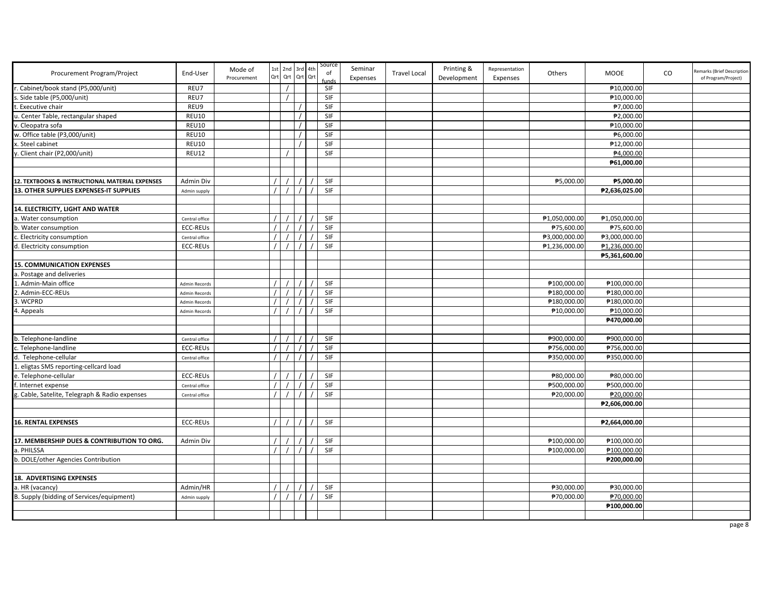| Procurement Program/Project                     | End-User         | Mode of<br>Procurement |          | 1st 2nd 3rd 4th<br>Qrt Qrt Qrt Qrt |  | Source<br>of<br>funds | Seminar<br>Expenses | <b>Travel Local</b> | Printing &<br>Development | Representation<br>Expenses | Others        | MOOE          | CO | Remarks (Brief Description<br>of Program/Project) |
|-------------------------------------------------|------------------|------------------------|----------|------------------------------------|--|-----------------------|---------------------|---------------------|---------------------------|----------------------------|---------------|---------------|----|---------------------------------------------------|
| . Cabinet/book stand (P5,000/unit)              | REU7             |                        |          |                                    |  | SIF                   |                     |                     |                           |                            |               | ₱10,000.00    |    |                                                   |
| Side table (P5,000/unit)                        | REU7             |                        |          |                                    |  | <b>SIF</b>            |                     |                     |                           |                            |               | ₱10,000.00    |    |                                                   |
| Executive chair                                 | REU9             |                        |          |                                    |  | SIF                   |                     |                     |                           |                            |               | ₱7,000.00     |    |                                                   |
| . Center Table, rectangular shaped              | <b>REU10</b>     |                        |          |                                    |  | SIF                   |                     |                     |                           |                            |               | ₱2,000.00     |    |                                                   |
| . Cleopatra sofa                                | <b>REU10</b>     |                        |          |                                    |  | SIF                   |                     |                     |                           |                            |               | ₱10,000.00    |    |                                                   |
| w. Office table (P3,000/unit)                   | <b>REU10</b>     |                        |          |                                    |  | SIF                   |                     |                     |                           |                            |               | ₱6,000.00     |    |                                                   |
| . Steel cabinet                                 | <b>REU10</b>     |                        |          |                                    |  | SIF                   |                     |                     |                           |                            |               | ₱12,000.00    |    |                                                   |
| . Client chair (P2,000/unit)                    | <b>REU12</b>     |                        |          |                                    |  | SIF                   |                     |                     |                           |                            |               | ₱4,000.00     |    |                                                   |
|                                                 |                  |                        |          |                                    |  |                       |                     |                     |                           |                            |               | ₱61,000.00    |    |                                                   |
|                                                 |                  |                        |          |                                    |  |                       |                     |                     |                           |                            |               |               |    |                                                   |
| 12. TEXTBOOKS & INSTRUCTIONAL MATERIAL EXPENSES | <b>Admin Div</b> |                        |          |                                    |  | SIF                   |                     |                     |                           |                            | ₱5,000.00     | ₱5,000.00     |    |                                                   |
| 13. OTHER SUPPLIES EXPENSES-IT SUPPLIES         | Admin supply     |                        |          |                                    |  | SIF                   |                     |                     |                           |                            |               | ₱2,636,025.00 |    |                                                   |
|                                                 |                  |                        |          |                                    |  |                       |                     |                     |                           |                            |               |               |    |                                                   |
| 14. ELECTRICITY, LIGHT AND WATER                |                  |                        |          |                                    |  |                       |                     |                     |                           |                            |               |               |    |                                                   |
| . Water consumption                             | Central office   |                        |          |                                    |  | SIF                   |                     |                     |                           |                            | ₱1,050,000.00 | ₱1,050,000.00 |    |                                                   |
| . Water consumption                             | <b>ECC-REUs</b>  |                        |          |                                    |  | SIF                   |                     |                     |                           |                            | ₱75,600.00    | ₱75,600.00    |    |                                                   |
| Electricity consumption                         | Central office   |                        |          |                                    |  | SIF                   |                     |                     |                           |                            | ₱3,000,000.00 | ₱3,000,000.00 |    |                                                   |
| I. Electricity consumption                      | <b>ECC-REUs</b>  |                        |          |                                    |  | SIF                   |                     |                     |                           |                            | ₱1,236,000.00 | ₱1,236,000.00 |    |                                                   |
|                                                 |                  |                        |          |                                    |  |                       |                     |                     |                           |                            |               | ₱5,361,600.00 |    |                                                   |
| <b>15. COMMUNICATION EXPENSES</b>               |                  |                        |          |                                    |  |                       |                     |                     |                           |                            |               |               |    |                                                   |
| . Postage and deliveries                        |                  |                        |          |                                    |  |                       |                     |                     |                           |                            |               |               |    |                                                   |
| Admin-Main office                               | Admin Records    |                        |          |                                    |  | SIF                   |                     |                     |                           |                            | ₱100,000.00   | ₱100,000.00   |    |                                                   |
| . Admin-ECC-REUs                                | Admin Records    |                        |          |                                    |  | SIF                   |                     |                     |                           |                            | ₱180,000.00   | ₱180,000.00   |    |                                                   |
| . WCPRD                                         | Admin Records    |                        |          |                                    |  | SIF                   |                     |                     |                           |                            | ₱180,000.00   | ₱180,000.00   |    |                                                   |
| . Appeals                                       | Admin Records    |                        |          |                                    |  | SIF                   |                     |                     |                           |                            | ₱10,000.00    | ₱10,000.00    |    |                                                   |
|                                                 |                  |                        |          |                                    |  |                       |                     |                     |                           |                            |               | ₱470,000.00   |    |                                                   |
|                                                 |                  |                        |          |                                    |  |                       |                     |                     |                           |                            |               |               |    |                                                   |
| . Telephone-landline                            | Central office   |                        |          |                                    |  | SIF                   |                     |                     |                           |                            | ₱900,000.00   | ₱900,000.00   |    |                                                   |
| Telephone-landline                              | <b>ECC-REUS</b>  |                        |          |                                    |  | SIF                   |                     |                     |                           |                            | ₱756,000.00   | ₱756,000.00   |    |                                                   |
| d. Telephone-cellular                           | Central office   |                        |          |                                    |  | SIF                   |                     |                     |                           |                            | ₱350,000.00   | ₱350,000.00   |    |                                                   |
| eligtas SMS reporting-cellcard load             |                  |                        |          |                                    |  |                       |                     |                     |                           |                            |               |               |    |                                                   |
| e. Telephone-cellular                           | <b>ECC-REUs</b>  |                        | $\prime$ |                                    |  | SIF                   |                     |                     |                           |                            | ₱80,000.00    | ₱80,000.00    |    |                                                   |
| . Internet expense                              | Central office   |                        |          |                                    |  | SIF                   |                     |                     |                           |                            | ₱500,000.00   | ₱500,000.00   |    |                                                   |
| Cable, Satelite, Telegraph & Radio expenses     | Central office   |                        | $\prime$ |                                    |  | SIF                   |                     |                     |                           |                            | ₱20,000.00    | ₱20,000.00    |    |                                                   |
|                                                 |                  |                        |          |                                    |  |                       |                     |                     |                           |                            |               | ₱2,606,000.00 |    |                                                   |
|                                                 |                  |                        |          |                                    |  |                       |                     |                     |                           |                            |               |               |    |                                                   |
| <b>16. RENTAL EXPENSES</b>                      | <b>ECC-REUS</b>  |                        | $\prime$ |                                    |  | SIF                   |                     |                     |                           |                            |               | ₱2,664,000.00 |    |                                                   |
|                                                 |                  |                        |          |                                    |  |                       |                     |                     |                           |                            |               |               |    |                                                   |
| 17. MEMBERSHIP DUES & CONTRIBUTION TO ORG.      | <b>Admin Div</b> |                        | $\prime$ |                                    |  | SIF                   |                     |                     |                           |                            | ₱100,000.00   | ₱100,000.00   |    |                                                   |
| a. PHILSSA                                      |                  |                        | $\prime$ |                                    |  | SIF                   |                     |                     |                           |                            | ₱100,000.00   | ₱100,000.00   |    |                                                   |
| . DOLE/other Agencies Contribution              |                  |                        |          |                                    |  |                       |                     |                     |                           |                            |               | ₱200,000.00   |    |                                                   |
|                                                 |                  |                        |          |                                    |  |                       |                     |                     |                           |                            |               |               |    |                                                   |
| 18. ADVERTISING EXPENSES                        |                  |                        |          |                                    |  |                       |                     |                     |                           |                            |               |               |    |                                                   |
| a. HR (vacancy)                                 | Admin/HR         |                        | $\prime$ |                                    |  | SIF                   |                     |                     |                           |                            | ₱30,000.00    | ₱30,000.00    |    |                                                   |
| B. Supply (bidding of Services/equipment)       | Admin supply     |                        | $\prime$ |                                    |  | SIF                   |                     |                     |                           |                            | ₱70,000.00    | ₱70,000.00    |    |                                                   |
|                                                 |                  |                        |          |                                    |  |                       |                     |                     |                           |                            |               | ₱100,000.00   |    |                                                   |
|                                                 |                  |                        |          |                                    |  |                       |                     |                     |                           |                            |               |               |    |                                                   |
|                                                 |                  |                        |          |                                    |  |                       |                     |                     |                           |                            |               |               |    |                                                   |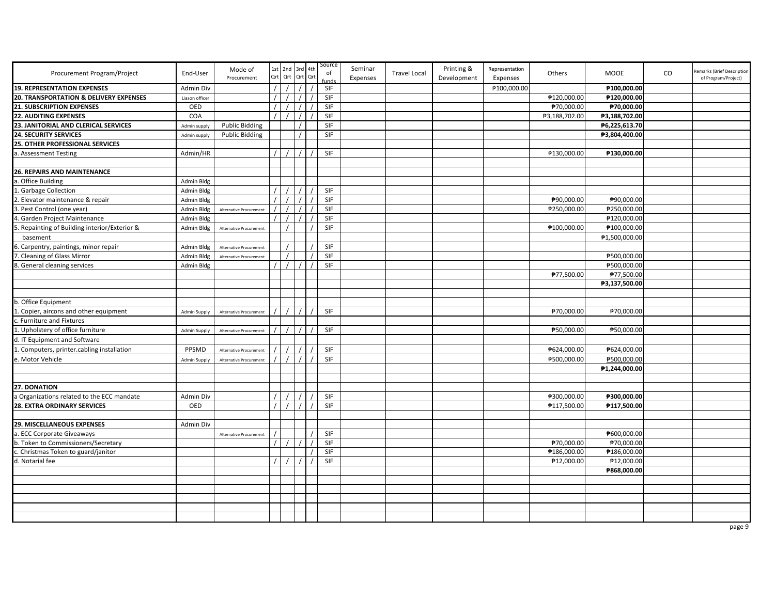| Procurement Program/Project                  | End-User            | Mode of<br>Procurement         | Qrt | 1st 2nd<br>Qrt | 3rd 4th<br>Qrt Qrt | Source<br>of<br>unds | Seminar<br>Expenses | <b>Travel Local</b> | Printing &<br>Development | Representation<br>Expenses | Others        | <b>MOOE</b>   | CO | Remarks (Brief Description<br>of Program/Project) |
|----------------------------------------------|---------------------|--------------------------------|-----|----------------|--------------------|----------------------|---------------------|---------------------|---------------------------|----------------------------|---------------|---------------|----|---------------------------------------------------|
| <b>19. REPRESENTATION EXPENSES</b>           | Admin Div           |                                |     |                |                    | SIF                  |                     |                     |                           | ₱100,000.00                |               | ₱100,000.00   |    |                                                   |
| 20. TRANSPORTATION & DELIVERY EXPENSES       | Liason officer      |                                |     |                |                    | <b>SIF</b>           |                     |                     |                           |                            | ₱120.000.00   | ₱120,000.00   |    |                                                   |
| <b>21. SUBSCRIPTION EXPENSES</b>             | OED                 |                                |     |                |                    | <b>SIF</b>           |                     |                     |                           |                            | ₱70,000.00    | ₱70,000.00    |    |                                                   |
| <b>22. AUDITING EXPENSES</b>                 | COA                 |                                |     |                |                    | SIF                  |                     |                     |                           |                            | ₱3,188,702.00 | ₱3,188,702.00 |    |                                                   |
| 23. JANITORIAL AND CLERICAL SERVICES         | Admin supply        | <b>Public Bidding</b>          |     |                |                    | SIF                  |                     |                     |                           |                            |               | ₱6,225,613.70 |    |                                                   |
| <b>24. SECURITY SERVICES</b>                 | Admin supply        | <b>Public Bidding</b>          |     |                |                    | <b>SIF</b>           |                     |                     |                           |                            |               | ₱3,804,400.00 |    |                                                   |
| 25. OTHER PROFESSIONAL SERVICES              |                     |                                |     |                |                    |                      |                     |                     |                           |                            |               |               |    |                                                   |
| . Assessment Testing                         | Admin/HR            |                                |     |                |                    | <b>SIF</b>           |                     |                     |                           |                            | ₱130,000.00   | ₱130,000.00   |    |                                                   |
|                                              |                     |                                |     |                |                    |                      |                     |                     |                           |                            |               |               |    |                                                   |
| 26. REPAIRS AND MAINTENANCE                  |                     |                                |     |                |                    |                      |                     |                     |                           |                            |               |               |    |                                                   |
| . Office Building                            | Admin Bldg          |                                |     |                |                    |                      |                     |                     |                           |                            |               |               |    |                                                   |
| <b>Garbage Collection</b>                    | Admin Bldg          |                                |     |                |                    | SIF                  |                     |                     |                           |                            |               |               |    |                                                   |
| Elevator maintenance & repair                | Admin Bldg          |                                |     |                |                    | SIF                  |                     |                     |                           |                            | ₱90,000.00    | ₱90,000.00    |    |                                                   |
| . Pest Control (one year)                    | <b>Admin Bldg</b>   | Alternative Procurement        |     |                |                    | SIF                  |                     |                     |                           |                            | ₱250,000.00   | ₱250,000.00   |    |                                                   |
| . Garden Project Maintenance                 | Admin Bldg          |                                |     |                |                    | SIF                  |                     |                     |                           |                            |               | ₱120,000.00   |    |                                                   |
| . Repainting of Building interior/Exterior & | Admin Bldg          | Alternative Procurement        |     |                |                    | SIF                  |                     |                     |                           |                            | ₱100,000.00   | ₱100,000.00   |    |                                                   |
| basement                                     |                     |                                |     |                |                    |                      |                     |                     |                           |                            |               | ₱1,500,000.00 |    |                                                   |
| Carpentry, paintings, minor repair           | Admin Bldg          | <b>Alternative Procurement</b> |     |                |                    | SIF                  |                     |                     |                           |                            |               |               |    |                                                   |
| Cleaning of Glass Mirror                     | Admin Bldg          | Alternative Procurement        |     |                |                    | SIF                  |                     |                     |                           |                            |               | ₱500,000.00   |    |                                                   |
| . General cleaning services                  | Admin Bldg          |                                |     |                |                    | SIF                  |                     |                     |                           |                            |               | ₱500,000.00   |    |                                                   |
|                                              |                     |                                |     |                |                    |                      |                     |                     |                           |                            | ₱77,500.00    | ₱77,500.00    |    |                                                   |
|                                              |                     |                                |     |                |                    |                      |                     |                     |                           |                            |               | ₱3,137,500.00 |    |                                                   |
|                                              |                     |                                |     |                |                    |                      |                     |                     |                           |                            |               |               |    |                                                   |
| b. Office Equipment                          |                     |                                |     |                |                    |                      |                     |                     |                           |                            |               |               |    |                                                   |
| . Copier, aircons and other equipment        | Admin Supply        | Alternative Procurement        |     |                |                    | <b>SIF</b>           |                     |                     |                           |                            | ₱70,000.00    | ₱70,000.00    |    |                                                   |
| c. Furniture and Fixtures                    |                     |                                |     |                |                    |                      |                     |                     |                           |                            |               |               |    |                                                   |
| 1. Upholstery of office furniture            | Admin Supply        | Alternative Procuremen         |     |                |                    | <b>SIF</b>           |                     |                     |                           |                            | ₱50,000.00    | ₱50,000.00    |    |                                                   |
| d. IT Equipment and Software                 |                     |                                |     |                |                    |                      |                     |                     |                           |                            |               |               |    |                                                   |
| Computers, printer.cabling installation      | PPSMD               | Alternative Procurement        |     |                |                    | SIF                  |                     |                     |                           |                            | ₱624,000.00   | ₱624,000.00   |    |                                                   |
| e. Motor Vehicle                             | <b>Admin Supply</b> | Alternative Procurement        |     |                |                    | SIF                  |                     |                     |                           |                            | ₱500,000.00   | ₱500,000.00   |    |                                                   |
|                                              |                     |                                |     |                |                    |                      |                     |                     |                           |                            |               | ₱1,244,000.00 |    |                                                   |
|                                              |                     |                                |     |                |                    |                      |                     |                     |                           |                            |               |               |    |                                                   |
| 27. DONATION                                 |                     |                                |     |                |                    |                      |                     |                     |                           |                            |               |               |    |                                                   |
| a Organizations related to the ECC mandate   | Admin Div           |                                |     |                |                    | SIF                  |                     |                     |                           |                            | ₱300,000.00   | ₱300,000.00   |    |                                                   |
| 28. EXTRA ORDINARY SERVICES                  | OED                 |                                |     |                |                    | SIF                  |                     |                     |                           |                            | ₱117,500.00   | ₱117,500.00   |    |                                                   |
|                                              |                     |                                |     |                |                    |                      |                     |                     |                           |                            |               |               |    |                                                   |
| 29. MISCELLANEOUS EXPENSES                   | Admin Div           |                                |     |                |                    |                      |                     |                     |                           |                            |               |               |    |                                                   |
| a. ECC Corporate Giveaways                   |                     | Alternative Procurement        |     |                |                    | SIF                  |                     |                     |                           |                            |               | ₱600,000.00   |    |                                                   |
| b. Token to Commissioners/Secretary          |                     |                                |     |                |                    | SIF                  |                     |                     |                           |                            | ₱70,000.00    | ₱70,000.00    |    |                                                   |
| . Christmas Token to guard/janitor           |                     |                                |     |                |                    | SIF                  |                     |                     |                           |                            | ₱186,000.00   | ₱186,000.00   |    |                                                   |
| d. Notarial fee                              |                     |                                |     |                |                    | SIF                  |                     |                     |                           |                            | ₱12,000.00    | ₱12,000.00    |    |                                                   |
|                                              |                     |                                |     |                |                    |                      |                     |                     |                           |                            |               | ₱868,000.00   |    |                                                   |
|                                              |                     |                                |     |                |                    |                      |                     |                     |                           |                            |               |               |    |                                                   |
|                                              |                     |                                |     |                |                    |                      |                     |                     |                           |                            |               |               |    |                                                   |
|                                              |                     |                                |     |                |                    |                      |                     |                     |                           |                            |               |               |    |                                                   |
|                                              |                     |                                |     |                |                    |                      |                     |                     |                           |                            |               |               |    |                                                   |
|                                              |                     |                                |     |                |                    |                      |                     |                     |                           |                            |               |               |    |                                                   |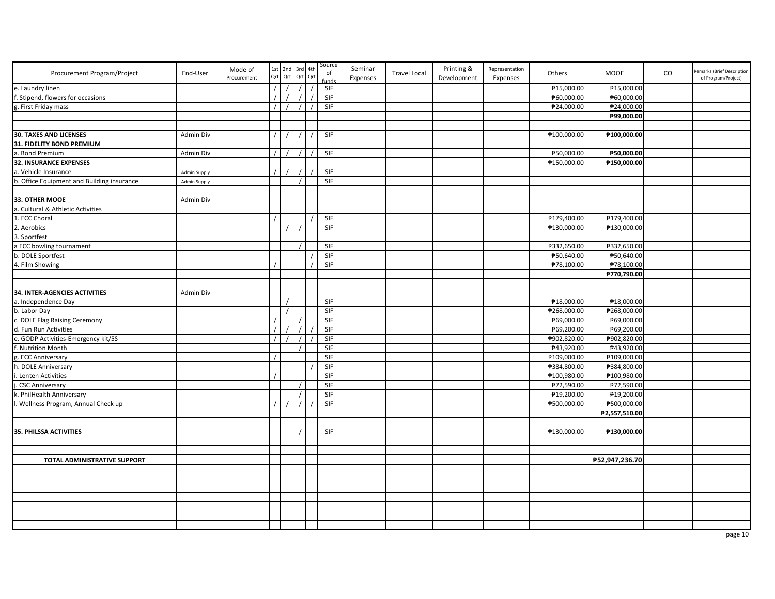| Procurement Program/Project                | End-User            | Mode of<br>Procurement | Qrt      | 1st 2nd 3rd 4th | Qrt Qrt Qrt | Source<br>of | Seminar<br>Expenses | <b>Travel Local</b> | Printing &<br>Development | Representation<br>Expenses | Others      | <b>MOOE</b>    | $\rm CO$ | Remarks (Brief Description<br>of Program/Project) |
|--------------------------------------------|---------------------|------------------------|----------|-----------------|-------------|--------------|---------------------|---------------------|---------------------------|----------------------------|-------------|----------------|----------|---------------------------------------------------|
| e. Laundry linen                           |                     |                        | $\prime$ |                 | $\prime$    | SIF          |                     |                     |                           |                            | ₱15,000.00  | ₱15,000.00     |          |                                                   |
| . Stipend, flowers for occasions           |                     |                        | $\prime$ |                 |             | SIF          |                     |                     |                           |                            | ₱60,000.00  | ₱60,000.00     |          |                                                   |
| g. First Friday mass                       |                     |                        | $\prime$ |                 |             | SIF          |                     |                     |                           |                            | ₱24,000.00  | ₱24,000.00     |          |                                                   |
|                                            |                     |                        |          |                 |             |              |                     |                     |                           |                            |             | ₱99,000.00     |          |                                                   |
|                                            |                     |                        |          |                 |             |              |                     |                     |                           |                            |             |                |          |                                                   |
| <b>30. TAXES AND LICENSES</b>              | Admin Div           |                        |          |                 |             | SIF          |                     |                     |                           |                            | ₱100,000.00 | ₱100,000.00    |          |                                                   |
| 31. FIDELITY BOND PREMIUM                  |                     |                        |          |                 |             |              |                     |                     |                           |                            |             |                |          |                                                   |
| a. Bond Premium                            | Admin Div           |                        | $\prime$ |                 |             | SIF          |                     |                     |                           |                            | ₱50,000.00  | ₱50,000.00     |          |                                                   |
| <b>32. INSURANCE EXPENSES</b>              |                     |                        |          |                 |             |              |                     |                     |                           |                            | ₱150,000.00 | ₱150,000.00    |          |                                                   |
| a. Vehicle Insurance                       | <b>Admin Supply</b> |                        |          |                 |             | SIF          |                     |                     |                           |                            |             |                |          |                                                   |
| b. Office Equipment and Building insurance | <b>Admin Supply</b> |                        |          |                 |             | SIF          |                     |                     |                           |                            |             |                |          |                                                   |
|                                            |                     |                        |          |                 |             |              |                     |                     |                           |                            |             |                |          |                                                   |
| 33. OTHER MOOE                             | Admin Div           |                        |          |                 |             |              |                     |                     |                           |                            |             |                |          |                                                   |
| a. Cultural & Athletic Activities          |                     |                        |          |                 |             |              |                     |                     |                           |                            |             |                |          |                                                   |
| ECC Choral                                 |                     |                        |          |                 |             | SIF          |                     |                     |                           |                            | ₱179,400.00 | ₱179,400.00    |          |                                                   |
| Aerobics                                   |                     |                        |          |                 |             | SIF          |                     |                     |                           |                            | ₱130,000.00 | ₱130,000.00    |          |                                                   |
| Sportfest                                  |                     |                        |          |                 |             |              |                     |                     |                           |                            |             |                |          |                                                   |
| ECC bowling tournament                     |                     |                        |          |                 |             | SIF          |                     |                     |                           |                            | ₱332,650.00 | ₱332,650.00    |          |                                                   |
| b. DOLE Sportfest                          |                     |                        |          |                 |             | SIF          |                     |                     |                           |                            | ₱50,640.00  | ₱50,640.00     |          |                                                   |
| 4. Film Showing                            |                     |                        | $\prime$ |                 |             | SIF          |                     |                     |                           |                            | ₱78,100.00  | ₱78,100.00     |          |                                                   |
|                                            |                     |                        |          |                 |             |              |                     |                     |                           |                            |             | ₱770,790.00    |          |                                                   |
|                                            |                     |                        |          |                 |             |              |                     |                     |                           |                            |             |                |          |                                                   |
| 34. INTER-AGENCIES ACTIVITIES              | Admin Div           |                        |          |                 |             |              |                     |                     |                           |                            |             |                |          |                                                   |
| a. Independence Day                        |                     |                        |          |                 |             | SIF          |                     |                     |                           |                            | ₱18,000.00  | ₱18,000.00     |          |                                                   |
| b. Labor Day                               |                     |                        |          |                 |             | SIF          |                     |                     |                           |                            | ₱268,000.00 | ₱268,000.00    |          |                                                   |
| c. DOLE Flag Raising Ceremony              |                     |                        | $\prime$ |                 |             | SIF          |                     |                     |                           |                            | ₱69,000.00  | ₱69,000.00     |          |                                                   |
| d. Fun Run Activities                      |                     |                        | $\prime$ |                 | $\prime$    | SIF          |                     |                     |                           |                            | ₱69,200.00  | ₱69,200.00     |          |                                                   |
| e. GODP Activities-Emergency kit/5S        |                     |                        | $\prime$ |                 |             | SIF          |                     |                     |                           |                            | ₱902,820.00 | ₱902,820.00    |          |                                                   |
| Nutrition Month                            |                     |                        |          |                 |             | SIF          |                     |                     |                           |                            | ₱43,920.00  | ₱43,920.00     |          |                                                   |
| z. ECC Anniversary                         |                     |                        | $\prime$ |                 |             | SIF          |                     |                     |                           |                            | ₱109,000.00 | ₱109,000.00    |          |                                                   |
| DOLE Anniversary                           |                     |                        |          |                 |             | SIF          |                     |                     |                           |                            | ₱384,800.00 | ₱384,800.00    |          |                                                   |
| Lenten Activities                          |                     |                        |          |                 |             | SIF          |                     |                     |                           |                            | ₱100,980.00 | ₱100,980.00    |          |                                                   |
| <b>CSC Anniversary</b>                     |                     |                        |          |                 |             | SIF          |                     |                     |                           |                            | ₱72,590.00  | ₱72,590.00     |          |                                                   |
| . PhilHealth Anniversary                   |                     |                        |          |                 |             | SIF          |                     |                     |                           |                            | ₱19,200.00  | ₱19,200.00     |          |                                                   |
| Wellness Program, Annual Check up          |                     |                        |          |                 |             | SIF          |                     |                     |                           |                            | ₱500,000.00 | ₱500,000.00    |          |                                                   |
|                                            |                     |                        |          |                 |             |              |                     |                     |                           |                            |             | ₱2,557,510.00  |          |                                                   |
|                                            |                     |                        |          |                 |             |              |                     |                     |                           |                            |             |                |          |                                                   |
| 35. PHILSSA ACTIVITIES                     |                     |                        |          |                 |             | SIF          |                     |                     |                           |                            | ₱130,000.00 | ₱130,000.00    |          |                                                   |
|                                            |                     |                        |          |                 |             |              |                     |                     |                           |                            |             |                |          |                                                   |
|                                            |                     |                        |          |                 |             |              |                     |                     |                           |                            |             |                |          |                                                   |
| TOTAL ADMINISTRATIVE SUPPORT               |                     |                        |          |                 |             |              |                     |                     |                           |                            |             | ₱52,947,236.70 |          |                                                   |
|                                            |                     |                        |          |                 |             |              |                     |                     |                           |                            |             |                |          |                                                   |
|                                            |                     |                        |          |                 |             |              |                     |                     |                           |                            |             |                |          |                                                   |
|                                            |                     |                        |          |                 |             |              |                     |                     |                           |                            |             |                |          |                                                   |
|                                            |                     |                        |          |                 |             |              |                     |                     |                           |                            |             |                |          |                                                   |
|                                            |                     |                        |          |                 |             |              |                     |                     |                           |                            |             |                |          |                                                   |
|                                            |                     |                        |          |                 |             |              |                     |                     |                           |                            |             |                |          |                                                   |
|                                            |                     |                        |          |                 |             |              |                     |                     |                           |                            |             |                |          |                                                   |
|                                            |                     |                        |          |                 |             |              |                     |                     |                           |                            |             |                |          |                                                   |